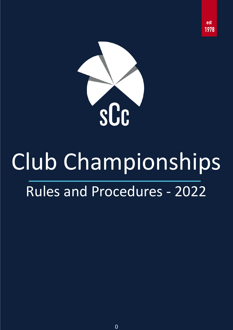

est 1978

## Club Championships Rules and Procedures - 2022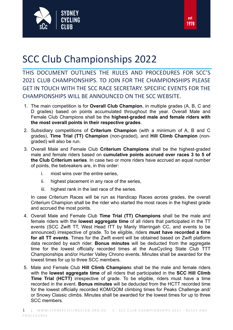

## SCC Club Championships 2022

THIS DOCUMENT OUTLINES THE RULES AND PROCEDURES FOR SCC'S 2021 CLUB CHAMPIONSHIPS. TO JOIN FOR THE CHAMPIONSHIPS PLEASE GET IN TOUCH WITH THE SCC RACE SECRETARY. SPECIFIC EVENTS FOR THE CHAMPIONSHIPS WILL BE ANNOUNCED ON THE SCC WEBSITE.

- 1. The main competition is for **Overall Club Champion**, in multiple grades (A, B, C and D grades) based on points accumulated throughout the year. Overall Male and Female Club Champions shall be the **highest-graded male and female riders with the most overall points in their respective grades**.
- 2. Subsidiary competitions of **Criterium Champion** (with a minimum of A, B and C grades), **Time Trial (TT) Champion** (non-graded), and **Hill Climb Champion** (nongraded) will also be run.
- 3. Overall Male and Female Club **Criterium Champions** shall be the highest-graded male and female riders based on **cumulative points accrued over races 3 to 5 of the Club Criterium series**. In case two or more riders have accrued an equal number of points, the tiebreakers are, in this order:
	- i. most wins over the entire series,
	- ii. highest placement in any race of the series,
	- iii. highest rank in the last race of the series.

In case Criterium Races will be run as Handicap Races across grades, the overall Criterium Champion shall be the rider who started the most races in the highest grade and accrued the most points.

- 4. Overall Male and Female Club **Time Trial (TT) Champions** shall be the male and female riders with the **lowest aggregate time** of all riders that participated in the TT events (SCC Zwift TT, West Head ITT by Manly Warringah CC, and events to be announced) irrespective of grade. To be eligible, riders **must have recorded a time for all TT events**. Times for the Zwift event will be obtained based on Zwift platform data recorded by each rider. **Bonus minutes** will be deducted from the aggregate time for the lowest officially recorded times at the AusCycling State Club TTT Championships and/or Hunter Valley Chrono events. Minutes shall be awarded for the lowest times for up to three SCC members.
- 5. Male and Female Club **Hill Climb Champion**s shall be the male and female riders with the **lowest aggregate time** of all riders that participated in the **SCC Hill Climb Time Trial (HCTT)** irrespective of grade. To be eligible, riders must have a time recorded in the event. **Bonus minutes** will be deducted from the HCTT recorded time for the lowest officially recorded KOM/QOM climbing times for Peaks Challenge and/ or Snowy Classic climbs. Minutes shall be awarded for the lowest times for up to three SCC members.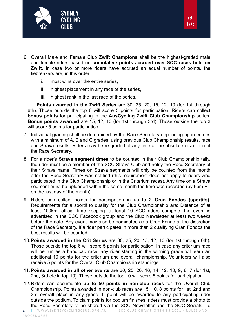

- 6. Overall Male and Female Club **Zwift Champions** shall be the highest-graded male and female riders based on **cumulative points accrued over SCC races held on Zwift. I**n case two or more riders have accrued an equal number of points, the tiebreakers are, in this order:
	- i. most wins over the entire series,
	- ii. highest placement in any race of the series,
	- iii. highest rank in the last race of the series.

**Points awarded in the Zwift Series** are 30, 25, 20, 15, 12, 10 (for 1st through 6th). Those outside the top 6 will score 5 points for participation. Riders can collect **bonus points** for participating in the **AusCycling Zwift Club Championship** series. **Bonus points awarded** are 15, 12, 10 (for 1st through 3rd). Those outside the top 3 will score 5 points for participation.

- 7. Individual grading shall be determined by the Race Secretary depending upon entries with a minimum of A, B and C grades, using previous Club Championship results, race and Strava results. Riders may be re-graded at any time at the absolute discretion of the Race Secretary.
- 8. For a rider's **Strava segment times** to be counted in their Club Championship tally, the rider must be a member of the SCC Strava Club and notify the Race Secretary of their Strava name. Times on Strava segments will only be counted from the month after the Race Secretary was notified (this requirement does not apply to riders who participated in the Club Championship or in the Criterium races). Any time on a Strava segment must be uploaded within the same month the time was recorded (by 6pm ET on the last day of the month).
- 9. Riders can collect points for participation in up to **2 Gran Fondos (sportifs)**. Requirements for a sportif to qualify for the Club Championship are: Distance of at least 100km, official time keeping, at least 10 SCC riders compete, the event is advertised in the SCC Facebook group and the Club Newsletter at least two weeks before the date. Any event may also be nominated as a Gran Fondo at the discretion of the Race Secretary. If a rider participates in more than 2 qualifying Gran Fondos the best results will be counted.
- 10.**Points awarded in the Crit Series** are 30, 25, 20, 15, 12, 10 (for 1st through 6th). Those outside the top 6 will score 5 points for participation. In case any criterium race will be run as a handicap race, any rider starting in the winning grade will earn an additional 10 points for the criterium and overall championship. Volunteers will also receive 5 points for the Overall Club Championship standings.
- 11. **Points awarded in all other events** are 30, 25, 20, 16, 14, 12, 10, 9, 8, 7 (for 1st, 2nd, 3rd etc in top 10). Those outside the top 10 will score 5 points for participation.
- 12.Riders can accumulate **up to 50 points in non-club races** for the Overall Club Championship. Points awarded in non-club races are 15, 10, 8 points for 1st, 2nd and 3rd overall place in any grade. 5 point will be awarded to any participating rider outside the podium. To claim points for podium finishes, riders must provide a photo to the Race Secretary to be shared via the SCC Newsletter and the SCC Socials. To